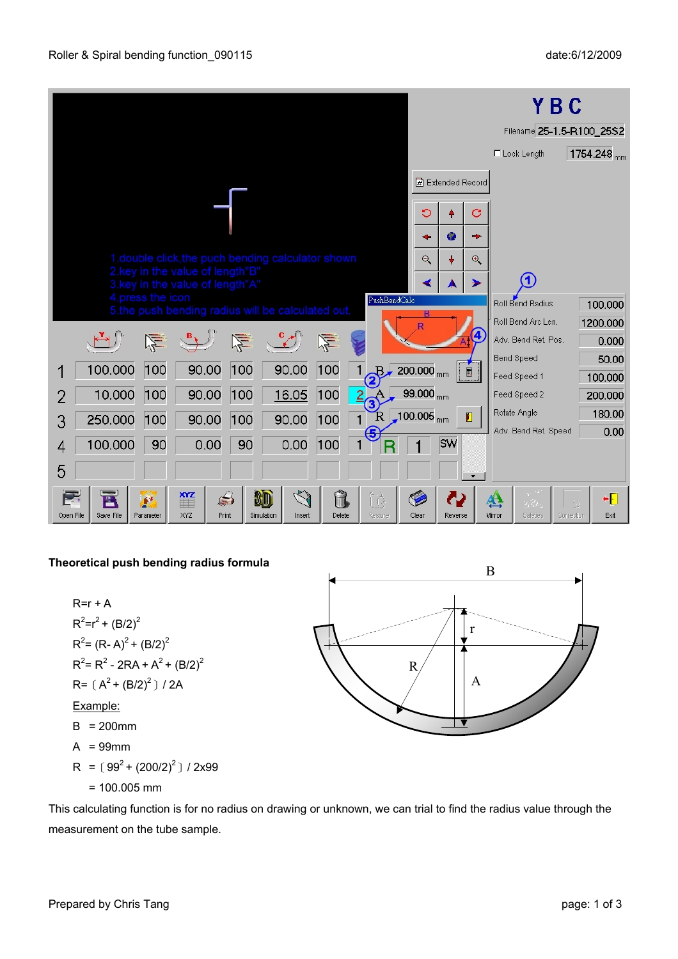|                                                                                                                                                                                          |                         |                          |                          | YBC                  |                                 |
|------------------------------------------------------------------------------------------------------------------------------------------------------------------------------------------|-------------------------|--------------------------|--------------------------|----------------------|---------------------------------|
|                                                                                                                                                                                          |                         |                          |                          |                      | Filename 25-1.5-R100_25S2       |
|                                                                                                                                                                                          |                         |                          |                          | $\Box$ Lock Length   | 1754.248 <sub>mm</sub>          |
|                                                                                                                                                                                          |                         | <b>团</b> Extended Record |                          |                      |                                 |
|                                                                                                                                                                                          | O                       |                          | С                        |                      |                                 |
|                                                                                                                                                                                          |                         | ۰                        | ÷                        |                      |                                 |
| 1.double click, the puch bending calculator shown                                                                                                                                        | $\Theta$                |                          | $\oplus$                 |                      |                                 |
| 2.key in the value of length"B'<br>3.key in the value of length"A"                                                                                                                       |                         |                          | ⋟                        |                      |                                 |
| 4.press the icon<br>PushBendCalc<br>5.the push bending radius will be calculated out.                                                                                                    |                         |                          |                          | Roll Bend Radius     | 100.000                         |
|                                                                                                                                                                                          | B                       |                          |                          | Roll Bend Arc Len.   | 1200.000                        |
| 竺                                                                                                                                                                                        |                         |                          |                          | Adv. Bend Ret. Pos.  | 0.000                           |
| 90.00<br>100<br>100<br>100<br>100.000<br>90.00<br>P.                                                                                                                                     | $200.000_{mm}$          | $\blacksquare$           |                          | <b>Bend Speed</b>    | 50.00                           |
|                                                                                                                                                                                          |                         |                          |                          | Feed Speed 1         | 100.000                         |
| 10.000<br>90.00<br>100<br>16.05<br>100<br>100<br>$\frac{2}{3}$                                                                                                                           | $99.000_{mm}$           |                          |                          | Feed Speed 2         | 200.000                         |
| $\mathbf R$<br>90.00<br>250.000<br>90.00<br>100<br>100<br>$\mathbf{1}$<br>100<br>З                                                                                                       | $100.005$ <sub>mm</sub> | $\blacksquare$           |                          | Rotate Angle         | 180.00                          |
| (5<br>100.000<br>0.00<br>90<br>0.00<br>90<br>100<br>4                                                                                                                                    |                         | <b>SW</b>                |                          | Adv. Bend Ret. Speed | 0.00                            |
| 5                                                                                                                                                                                        |                         |                          | $\overline{\phantom{a}}$ |                      |                                 |
| $\heartsuit$<br>XYZ<br>Ĥ<br>$\mathbb{S}^2$<br>80<br>$\sum_{i=1}^{n}$<br>E<br>49<br>▦<br>XYZ<br>Open File<br>Save File<br>Print<br>Simulation<br>Delete<br>Restore<br>Parameter<br>Insert | Clear                   | ω<br>Reverse             | 生<br>Mirror              | 5,29.<br>Safeties    | ٠Đ<br>N.J<br>Correction<br>Exit |

## **Theoretical push bending radius formula**

 $R=r + A$  $R^2 = r^2 + (B/2)^2$  $R^2$ = (R-A)<sup>2</sup> + (B/2)<sup>2</sup>  $R^2$ = R<sup>2</sup> - 2RA + A<sup>2</sup> + (B/2)<sup>2</sup>  $R = [A^2 + (B/2)^2] / 2A$ Example:  $B = 200$ mm  $A = 99$ mm R =  $(99^2 + (200/2)^2) / 2x99$ 

$$
= 100.005 \, \text{mm}
$$



This calculating function is for no radius on drawing or unknown, we can trial to find the radius value through the measurement on the tube sample.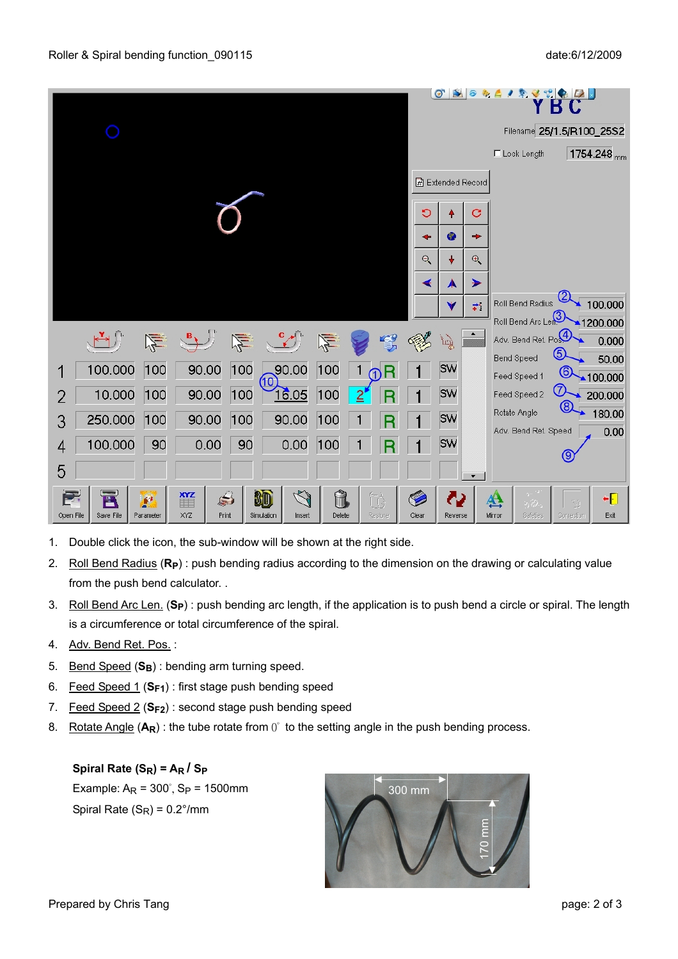|                                                                                                                                                                                                   | $\bullet$<br>$\mathbf{N}$<br>к                                                                          |
|---------------------------------------------------------------------------------------------------------------------------------------------------------------------------------------------------|---------------------------------------------------------------------------------------------------------|
|                                                                                                                                                                                                   | Filename 25/1.5/R100_25S2                                                                               |
|                                                                                                                                                                                                   | 1754.248 <sub>mm</sub><br>$\Box$ Lock Length                                                            |
|                                                                                                                                                                                                   | <b>团 Extended Record</b>                                                                                |
| $\circ$                                                                                                                                                                                           | С                                                                                                       |
|                                                                                                                                                                                                   | $\bullet$<br>÷<br>۰                                                                                     |
|                                                                                                                                                                                                   | $\Theta$<br>÷<br>$\Theta$                                                                               |
|                                                                                                                                                                                                   | ↞<br>⊁<br>A                                                                                             |
|                                                                                                                                                                                                   | Roll Bend Radius<br>100.000<br>$\overline{\overline{\overline{z}}}{}^{\ast}$<br>v                       |
|                                                                                                                                                                                                   | Roll Bend Arc Length<br>1200.000                                                                        |
| 生<br>烂                                                                                                                                                                                            | Adv. Bend Ret. Po. 4<br>0.000<br>谫<br>௫<br>Bend Speed<br>50.00                                          |
| 100<br>90.00<br>100<br>90.00<br>100.000<br>100<br>ന<br>(10)                                                                                                                                       | <b>SW</b><br><b>⑥</b><br>Feed Speed 1<br>$\triangle$ 100.000                                            |
| 10.000<br>16.05<br>100<br>90.00<br>100<br>100<br>$\overline{2}$<br>2                                                                                                                              | ℗<br><b>SW</b><br>Feed Speed 2<br>200.000                                                               |
| 250.000<br>90.00<br>90.00<br>100<br>100<br>100<br>3                                                                                                                                               | ൫<br>180.00<br>Rotate Angle<br><b>SW</b>                                                                |
| 100.000<br>90<br>0.00<br>90<br>0.00<br>100<br>4                                                                                                                                                   | Adv. Bend Ret. Speed<br>0.00<br><b>SW</b>                                                               |
| 5                                                                                                                                                                                                 |                                                                                                         |
|                                                                                                                                                                                                   | $\blacktriangledown$                                                                                    |
| $\heartsuit$<br>$\mathbf{M}$<br>80<br>$\Rightarrow$<br>tò<br>ÙŨ<br>$\mathbf{r}$<br>圖<br>Save File<br>XYZ<br>Restore<br>Clear<br>Open File<br>Print<br>Simulation<br>Delete<br>Parameter<br>Insert | ٠Đ<br>生<br>$\mathcal{S}_{\mathcal{Q}}$<br>الكورد<br>Safeties<br>Exit<br>Reverse<br>Mirror<br>Correction |

- 1. Double click the icon, the sub-window will be shown at the right side.
- 2. Roll Bend Radius (**RP**) : push bending radius according to the dimension on the drawing or calculating value from the push bend calculator. .
- 3. Roll Bend Arc Len. (**SP**) : push bending arc length, if the application is to push bend a circle or spiral. The length is a circumference or total circumference of the spiral.
- 4. Adv. Bend Ret. Pos. :
- 5. Bend Speed (S<sub>B</sub>) : bending arm turning speed.
- 6. Feed Speed 1 (**SF1**) : first stage push bending speed
- 7. Feed Speed 2 (**SF2**) : second stage push bending speed
- 8. Rotate Angle (A<sub>R</sub>): the tube rotate from 0° to the setting angle in the push bending process.

## Spiral Rate (S<sub>R</sub>) = A<sub>R</sub> / S<sub>P</sub>

Example:  $A_R = 300^\circ$ ,  $S_P = 1500$ mm Spiral Rate  $(S_R) = 0.2^{\circ}/\text{mm}$